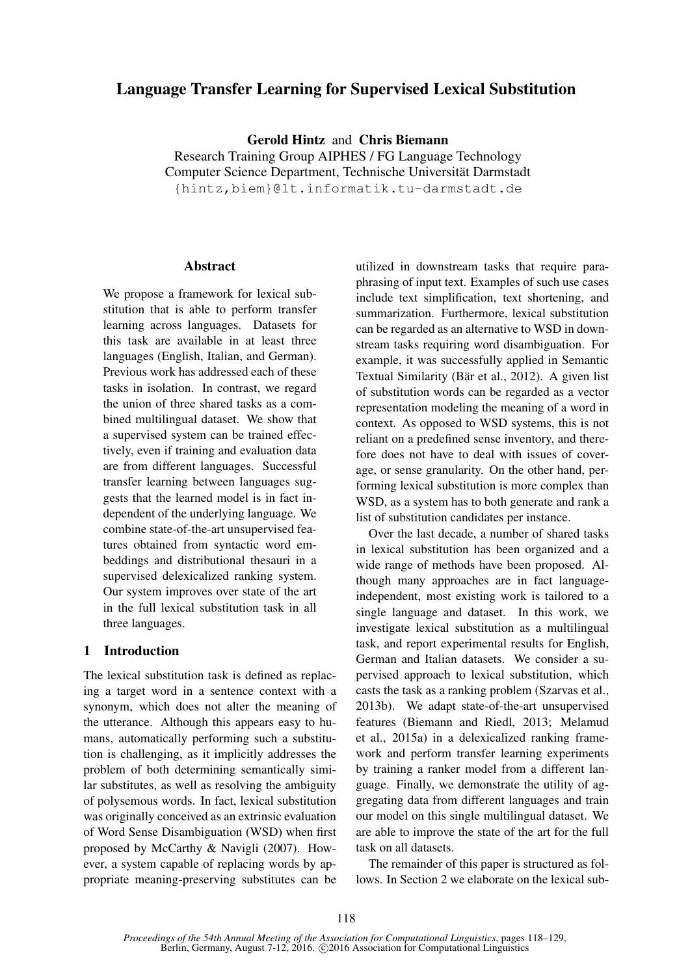# Language Transfer Learning for Supervised Lexical Substitution

Gerold Hintz and Chris Biemann

Research Training Group AIPHES / FG Language Technology Computer Science Department, Technische Universität Darmstadt {hintz,biem}@lt.informatik.tu-darmstadt.de

### Abstract

We propose a framework for lexical substitution that is able to perform transfer learning across languages. Datasets for this task are available in at least three languages (English, Italian, and German). Previous work has addressed each of these tasks in isolation. In contrast, we regard the union of three shared tasks as a combined multilingual dataset. We show that a supervised system can be trained effectively, even if training and evaluation data are from different languages. Successful transfer learning between languages suggests that the learned model is in fact independent of the underlying language. We combine state-of-the-art unsupervised features obtained from syntactic word embeddings and distributional thesauri in a supervised delexicalized ranking system. Our system improves over state of the art in the full lexical substitution task in all three languages.

# 1 Introduction

The lexical substitution task is defined as replacing a target word in a sentence context with a synonym, which does not alter the meaning of the utterance. Although this appears easy to humans, automatically performing such a substitution is challenging, as it implicitly addresses the problem of both determining semantically similar substitutes, as well as resolving the ambiguity of polysemous words. In fact, lexical substitution was originally conceived as an extrinsic evaluation of Word Sense Disambiguation (WSD) when first proposed by McCarthy & Navigli (2007). However, a system capable of replacing words by appropriate meaning-preserving substitutes can be

utilized in downstream tasks that require paraphrasing of input text. Examples of such use cases include text simplification, text shortening, and summarization. Furthermore, lexical substitution can be regarded as an alternative to WSD in downstream tasks requiring word disambiguation. For example, it was successfully applied in Semantic Textual Similarity (Bär et al., 2012). A given list of substitution words can be regarded as a vector representation modeling the meaning of a word in context. As opposed to WSD systems, this is not reliant on a predefined sense inventory, and therefore does not have to deal with issues of coverage, or sense granularity. On the other hand, performing lexical substitution is more complex than WSD, as a system has to both generate and rank a list of substitution candidates per instance.

Over the last decade, a number of shared tasks in lexical substitution has been organized and a wide range of methods have been proposed. Although many approaches are in fact languageindependent, most existing work is tailored to a single language and dataset. In this work, we investigate lexical substitution as a multilingual task, and report experimental results for English, German and Italian datasets. We consider a supervised approach to lexical substitution, which casts the task as a ranking problem (Szarvas et al., 2013b). We adapt state-of-the-art unsupervised features (Biemann and Riedl, 2013; Melamud et al., 2015a) in a delexicalized ranking framework and perform transfer learning experiments by training a ranker model from a different language. Finally, we demonstrate the utility of aggregating data from different languages and train our model on this single multilingual dataset. We are able to improve the state of the art for the full task on all datasets.

The remainder of this paper is structured as follows. In Section 2 we elaborate on the lexical sub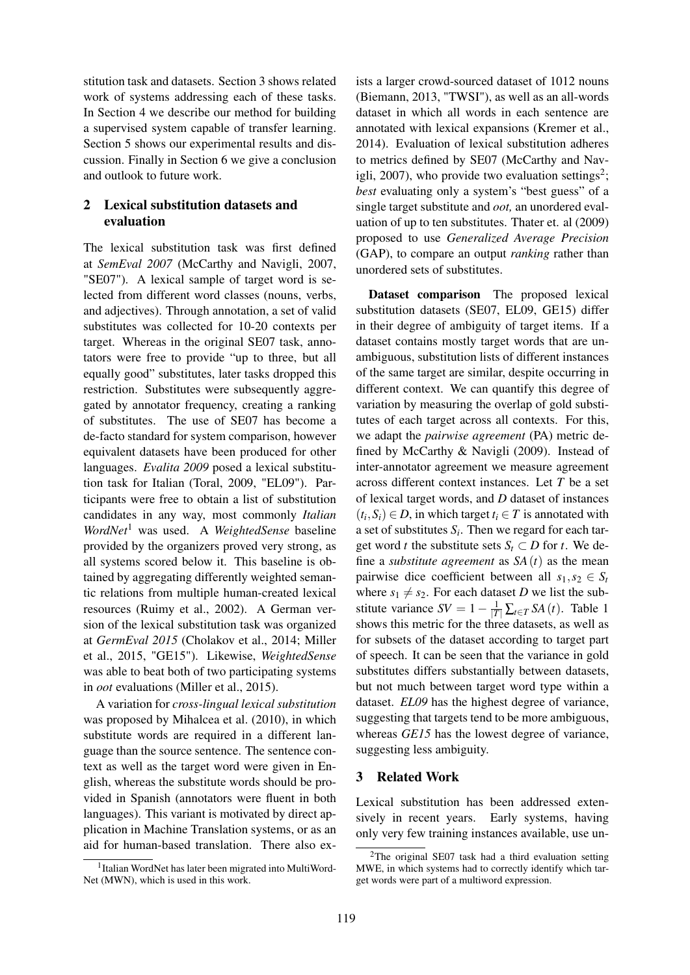stitution task and datasets. Section 3 shows related work of systems addressing each of these tasks. In Section 4 we describe our method for building a supervised system capable of transfer learning. Section 5 shows our experimental results and discussion. Finally in Section 6 we give a conclusion and outlook to future work.

# 2 Lexical substitution datasets and evaluation

The lexical substitution task was first defined at *SemEval 2007* (McCarthy and Navigli, 2007, "SE07"). A lexical sample of target word is selected from different word classes (nouns, verbs, and adjectives). Through annotation, a set of valid substitutes was collected for 10-20 contexts per target. Whereas in the original SE07 task, annotators were free to provide "up to three, but all equally good" substitutes, later tasks dropped this restriction. Substitutes were subsequently aggregated by annotator frequency, creating a ranking of substitutes. The use of SE07 has become a de-facto standard for system comparison, however equivalent datasets have been produced for other languages. *Evalita 2009* posed a lexical substitution task for Italian (Toral, 2009, "EL09"). Participants were free to obtain a list of substitution candidates in any way, most commonly *Italian WordNet*<sup>1</sup> was used. A *WeightedSense* baseline provided by the organizers proved very strong, as all systems scored below it. This baseline is obtained by aggregating differently weighted semantic relations from multiple human-created lexical resources (Ruimy et al., 2002). A German version of the lexical substitution task was organized at *GermEval 2015* (Cholakov et al., 2014; Miller et al., 2015, "GE15"). Likewise, *WeightedSense* was able to beat both of two participating systems in *oot* evaluations (Miller et al., 2015).

A variation for *cross-lingual lexical substitution* was proposed by Mihalcea et al. (2010), in which substitute words are required in a different language than the source sentence. The sentence context as well as the target word were given in English, whereas the substitute words should be provided in Spanish (annotators were fluent in both languages). This variant is motivated by direct application in Machine Translation systems, or as an aid for human-based translation. There also ex-

ists a larger crowd-sourced dataset of 1012 nouns (Biemann, 2013, "TWSI"), as well as an all-words dataset in which all words in each sentence are annotated with lexical expansions (Kremer et al., 2014). Evaluation of lexical substitution adheres to metrics defined by SE07 (McCarthy and Navigli, 2007), who provide two evaluation settings<sup>2</sup>; *best* evaluating only a system's "best guess" of a single target substitute and *oot,* an unordered evaluation of up to ten substitutes. Thater et. al (2009) proposed to use *Generalized Average Precision* (GAP), to compare an output *ranking* rather than unordered sets of substitutes.

Dataset comparison The proposed lexical substitution datasets (SE07, EL09, GE15) differ in their degree of ambiguity of target items. If a dataset contains mostly target words that are unambiguous, substitution lists of different instances of the same target are similar, despite occurring in different context. We can quantify this degree of variation by measuring the overlap of gold substitutes of each target across all contexts. For this, we adapt the *pairwise agreement* (PA) metric defined by McCarthy & Navigli (2009). Instead of inter-annotator agreement we measure agreement across different context instances. Let *T* be a set of lexical target words, and *D* dataset of instances  $(t_i, S_i) \in D$ , in which target  $t_i \in T$  is annotated with a set of substitutes  $S_i$ . Then we regard for each target word *t* the substitute sets  $S_t \subset D$  for *t*. We define a *substitute agreement* as  $SA(t)$  as the mean pairwise dice coefficient between all  $s_1, s_2 \in S_t$ where  $s_1 \neq s_2$ . For each dataset *D* we list the substitute variance  $SV = 1 - \frac{1}{|T|} \sum_{t \in T} SA(t)$ . Table 1 shows this metric for the three datasets, as well as for subsets of the dataset according to target part of speech. It can be seen that the variance in gold substitutes differs substantially between datasets, but not much between target word type within a dataset. *EL09* has the highest degree of variance, suggesting that targets tend to be more ambiguous, whereas *GE15* has the lowest degree of variance, suggesting less ambiguity.

### 3 Related Work

Lexical substitution has been addressed extensively in recent years. Early systems, having only very few training instances available, use un-

<sup>&</sup>lt;sup>1</sup> Italian WordNet has later been migrated into MultiWord-Net (MWN), which is used in this work.

 $2$ The original SE07 task had a third evaluation setting MWE, in which systems had to correctly identify which target words were part of a multiword expression.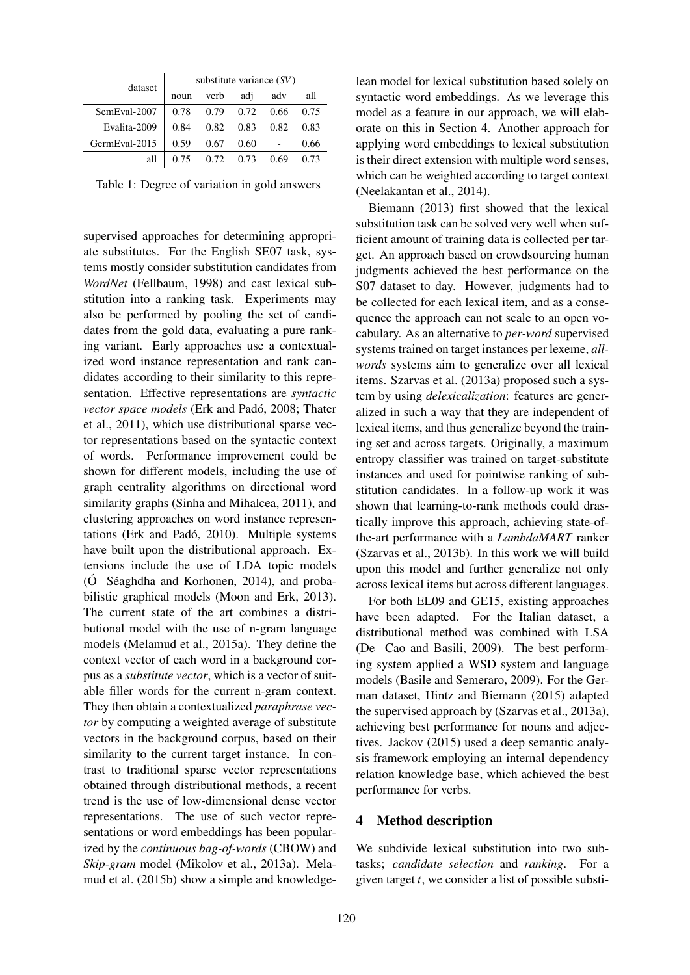| dataset       | substitute variance (SV) |      |      |      |       |  |
|---------------|--------------------------|------|------|------|-------|--|
|               | noun                     | verb | adi  | adv  | all   |  |
| SemEval-2007  | 0.78                     | 0.79 | 0.72 | 0.66 | 0.75  |  |
| Evalita-2009  | 0.84                     | 0.82 | 0.83 | 0.82 | 0.83  |  |
| GermEval-2015 | 0.59                     | 0.67 | 0.60 |      | 0.66  |  |
| all           | 0.75                     | 0.72 | 0.73 | 0.69 | () 73 |  |

Table 1: Degree of variation in gold answers

supervised approaches for determining appropriate substitutes. For the English SE07 task, systems mostly consider substitution candidates from *WordNet* (Fellbaum, 1998) and cast lexical substitution into a ranking task. Experiments may also be performed by pooling the set of candidates from the gold data, evaluating a pure ranking variant. Early approaches use a contextualized word instance representation and rank candidates according to their similarity to this representation. Effective representations are *syntactic vector space models* (Erk and Padó, 2008; Thater et al., 2011), which use distributional sparse vector representations based on the syntactic context of words. Performance improvement could be shown for different models, including the use of graph centrality algorithms on directional word similarity graphs (Sinha and Mihalcea, 2011), and clustering approaches on word instance representations (Erk and Padó, 2010). Multiple systems have built upon the distributional approach. Extensions include the use of LDA topic models (Ó Séaghdha and Korhonen, 2014), and probabilistic graphical models (Moon and Erk, 2013). The current state of the art combines a distributional model with the use of n-gram language models (Melamud et al., 2015a). They define the context vector of each word in a background corpus as a *substitute vector*, which is a vector of suitable filler words for the current n-gram context. They then obtain a contextualized *paraphrase vector* by computing a weighted average of substitute vectors in the background corpus, based on their similarity to the current target instance. In contrast to traditional sparse vector representations obtained through distributional methods, a recent trend is the use of low-dimensional dense vector representations. The use of such vector representations or word embeddings has been popularized by the *continuous bag-of-words* (CBOW) and *Skip-gram* model (Mikolov et al., 2013a). Melamud et al. (2015b) show a simple and knowledge-

lean model for lexical substitution based solely on syntactic word embeddings. As we leverage this model as a feature in our approach, we will elaborate on this in Section 4. Another approach for applying word embeddings to lexical substitution is their direct extension with multiple word senses, which can be weighted according to target context (Neelakantan et al., 2014).

Biemann (2013) first showed that the lexical substitution task can be solved very well when sufficient amount of training data is collected per target. An approach based on crowdsourcing human judgments achieved the best performance on the S07 dataset to day. However, judgments had to be collected for each lexical item, and as a consequence the approach can not scale to an open vocabulary. As an alternative to *per-word* supervised systems trained on target instances per lexeme, *allwords* systems aim to generalize over all lexical items. Szarvas et al. (2013a) proposed such a system by using *delexicalization*: features are generalized in such a way that they are independent of lexical items, and thus generalize beyond the training set and across targets. Originally, a maximum entropy classifier was trained on target-substitute instances and used for pointwise ranking of substitution candidates. In a follow-up work it was shown that learning-to-rank methods could drastically improve this approach, achieving state-ofthe-art performance with a *LambdaMART* ranker (Szarvas et al., 2013b). In this work we will build upon this model and further generalize not only across lexical items but across different languages.

For both EL09 and GE15, existing approaches have been adapted. For the Italian dataset, a distributional method was combined with LSA (De Cao and Basili, 2009). The best performing system applied a WSD system and language models (Basile and Semeraro, 2009). For the German dataset, Hintz and Biemann (2015) adapted the supervised approach by (Szarvas et al., 2013a), achieving best performance for nouns and adjectives. Jackov (2015) used a deep semantic analysis framework employing an internal dependency relation knowledge base, which achieved the best performance for verbs.

#### 4 Method description

We subdivide lexical substitution into two subtasks; *candidate selection* and *ranking*. For a given target *t*, we consider a list of possible substi-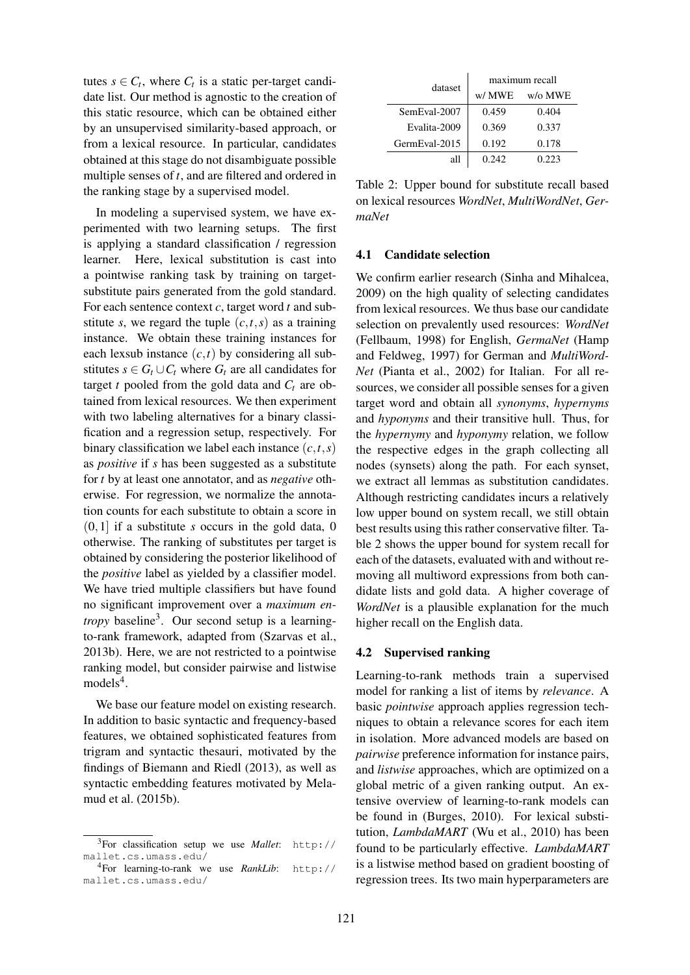tutes  $s \in C_t$ , where  $C_t$  is a static per-target candidate list. Our method is agnostic to the creation of this static resource, which can be obtained either by an unsupervised similarity-based approach, or from a lexical resource. In particular, candidates obtained at this stage do not disambiguate possible multiple senses of *t*, and are filtered and ordered in the ranking stage by a supervised model.

In modeling a supervised system, we have experimented with two learning setups. The first is applying a standard classification / regression learner. Here, lexical substitution is cast into a pointwise ranking task by training on targetsubstitute pairs generated from the gold standard. For each sentence context *c*, target word *t* and substitute *s*, we regard the tuple  $(c, t, s)$  as a training instance. We obtain these training instances for each lexsub instance  $(c, t)$  by considering all substitutes  $s \in G_t \cup C_t$  where  $G_t$  are all candidates for target *t* pooled from the gold data and  $C_t$  are obtained from lexical resources. We then experiment with two labeling alternatives for a binary classification and a regression setup, respectively. For binary classification we label each instance  $(c, t, s)$ as *positive* if *s* has been suggested as a substitute for *t* by at least one annotator, and as *negative* otherwise. For regression, we normalize the annotation counts for each substitute to obtain a score in (0,1] if a substitute *s* occurs in the gold data, 0 otherwise. The ranking of substitutes per target is obtained by considering the posterior likelihood of the *positive* label as yielded by a classifier model. We have tried multiple classifiers but have found no significant improvement over a *maximum entropy* baseline<sup>3</sup>. Our second setup is a learningto-rank framework, adapted from (Szarvas et al., 2013b). Here, we are not restricted to a pointwise ranking model, but consider pairwise and listwise  $models<sup>4</sup>$ .

We base our feature model on existing research. In addition to basic syntactic and frequency-based features, we obtained sophisticated features from trigram and syntactic thesauri, motivated by the findings of Biemann and Riedl (2013), as well as syntactic embedding features motivated by Melamud et al. (2015b).

| dataset       | maximum recall |         |  |  |
|---------------|----------------|---------|--|--|
|               | w/ MWE         | w/o MWE |  |  |
| SemEval-2007  | 0.459          | 0.404   |  |  |
| Evalita-2009  | 0.369          | 0.337   |  |  |
| GermEval-2015 | 0.192          | 0.178   |  |  |
| all           | 0.242          | 0.223   |  |  |

Table 2: Upper bound for substitute recall based on lexical resources *WordNet*, *MultiWordNet*, *GermaNet*

#### 4.1 Candidate selection

We confirm earlier research (Sinha and Mihalcea, 2009) on the high quality of selecting candidates from lexical resources. We thus base our candidate selection on prevalently used resources: *WordNet* (Fellbaum, 1998) for English, *GermaNet* (Hamp and Feldweg, 1997) for German and *MultiWord-Net* (Pianta et al., 2002) for Italian. For all resources, we consider all possible senses for a given target word and obtain all *synonyms*, *hypernyms* and *hyponyms* and their transitive hull. Thus, for the *hypernymy* and *hyponymy* relation, we follow the respective edges in the graph collecting all nodes (synsets) along the path. For each synset, we extract all lemmas as substitution candidates. Although restricting candidates incurs a relatively low upper bound on system recall, we still obtain best results using this rather conservative filter. Table 2 shows the upper bound for system recall for each of the datasets, evaluated with and without removing all multiword expressions from both candidate lists and gold data. A higher coverage of *WordNet* is a plausible explanation for the much higher recall on the English data.

### 4.2 Supervised ranking

Learning-to-rank methods train a supervised model for ranking a list of items by *relevance*. A basic *pointwise* approach applies regression techniques to obtain a relevance scores for each item in isolation. More advanced models are based on *pairwise* preference information for instance pairs, and *listwise* approaches, which are optimized on a global metric of a given ranking output. An extensive overview of learning-to-rank models can be found in (Burges, 2010). For lexical substitution, *LambdaMART* (Wu et al., 2010) has been found to be particularly effective. *LambdaMART* is a listwise method based on gradient boosting of regression trees. Its two main hyperparameters are

<sup>3</sup>For classification setup we use *Mallet*: http:// mallet.cs.umass.edu/

<sup>4</sup>For learning-to-rank we use *RankLib*: http:// mallet.cs.umass.edu/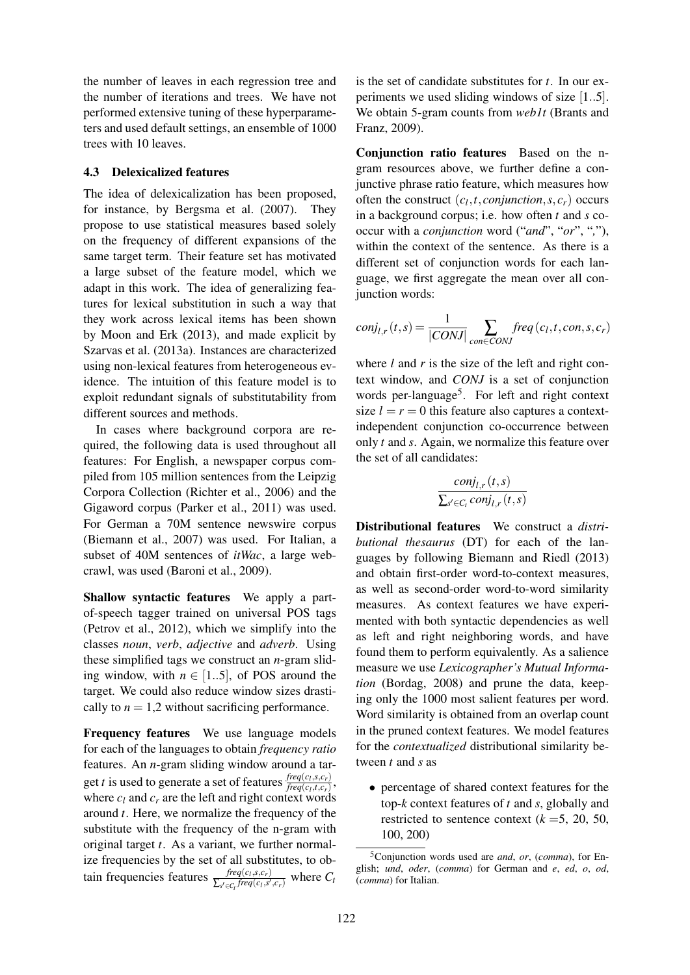the number of leaves in each regression tree and the number of iterations and trees. We have not performed extensive tuning of these hyperparameters and used default settings, an ensemble of 1000 trees with 10 leaves.

### 4.3 Delexicalized features

The idea of delexicalization has been proposed, for instance, by Bergsma et al. (2007). They propose to use statistical measures based solely on the frequency of different expansions of the same target term. Their feature set has motivated a large subset of the feature model, which we adapt in this work. The idea of generalizing features for lexical substitution in such a way that they work across lexical items has been shown by Moon and Erk (2013), and made explicit by Szarvas et al. (2013a). Instances are characterized using non-lexical features from heterogeneous evidence. The intuition of this feature model is to exploit redundant signals of substitutability from different sources and methods.

In cases where background corpora are required, the following data is used throughout all features: For English, a newspaper corpus compiled from 105 million sentences from the Leipzig Corpora Collection (Richter et al., 2006) and the Gigaword corpus (Parker et al., 2011) was used. For German a 70M sentence newswire corpus (Biemann et al., 2007) was used. For Italian, a subset of 40M sentences of *itWac*, a large webcrawl, was used (Baroni et al., 2009).

Shallow syntactic features We apply a partof-speech tagger trained on universal POS tags (Petrov et al., 2012), which we simplify into the classes *noun*, *verb*, *adjective* and *adverb*. Using these simplified tags we construct an *n*-gram sliding window, with  $n \in [1..5]$ , of POS around the target. We could also reduce window sizes drastically to  $n = 1,2$  without sacrificing performance.

Frequency features We use language models for each of the languages to obtain *frequency ratio* features. An *n*-gram sliding window around a target *t* is used to generate a set of features  $\frac{freq(c_l, s, c_r)}{freq(c_l, t, c_l)}$  $\frac{freq(c_l, s, c_r)}{freq(c_l, t, c_r)},$ where  $c_l$  and  $c_r$  are the left and right context words around *t*. Here, we normalize the frequency of the substitute with the frequency of the n-gram with original target *t*. As a variant, we further normalize frequencies by the set of all substitutes, to obtain frequencies features  $\frac{freq(c_l, s, c_r)}{\sum_{l} f}{req(c_l, s_l)}}$  $\frac{Jreq(C_l, s, c_r)}{\sum_{s' \in C_t} freq(c_l, s', c_r)}$  where  $C_t$ 

is the set of candidate substitutes for *t*. In our experiments we used sliding windows of size [1..5]. We obtain 5-gram counts from *web1t* (Brants and Franz, 2009).

Conjunction ratio features Based on the ngram resources above, we further define a conjunctive phrase ratio feature, which measures how often the construct  $(c_l, t, conjunction, s, c_r)$  occurs in a background corpus; i.e. how often *t* and *s* cooccur with a *conjunction* word ("*and*", "*or*", "*,*"), within the context of the sentence. As there is a different set of conjunction words for each language, we first aggregate the mean over all conjunction words:

$$
conj_{l,r}(t,s) = \frac{1}{|CONJ|} \sum_{con \in CONJ} freq(c_l,t,con,s,c_r)
$$

where *l* and *r* is the size of the left and right context window, and *CONJ* is a set of conjunction words per-language<sup>5</sup>. For left and right context size  $l = r = 0$  this feature also captures a contextindependent conjunction co-occurrence between only *t* and *s*. Again, we normalize this feature over the set of all candidates:

$$
\frac{conj_{l,r}(t,s)}{\sum_{s' \in C_l} conj_{l,r}(t,s)}
$$

Distributional features We construct a *distributional thesaurus* (DT) for each of the languages by following Biemann and Riedl (2013) and obtain first-order word-to-context measures, as well as second-order word-to-word similarity measures. As context features we have experimented with both syntactic dependencies as well as left and right neighboring words, and have found them to perform equivalently. As a salience measure we use *Lexicographer's Mutual Information* (Bordag, 2008) and prune the data, keeping only the 1000 most salient features per word. Word similarity is obtained from an overlap count in the pruned context features. We model features for the *contextualized* distributional similarity between *t* and *s* as

• percentage of shared context features for the top-*k* context features of *t* and *s*, globally and restricted to sentence context  $(k = 5, 20, 50,$ 100, 200)

<sup>5</sup>Conjunction words used are *and*, *or*, (*comma*), for English; *und*, *oder*, (*comma*) for German and *e*, *ed*, *o*, *od*, (*comma*) for Italian.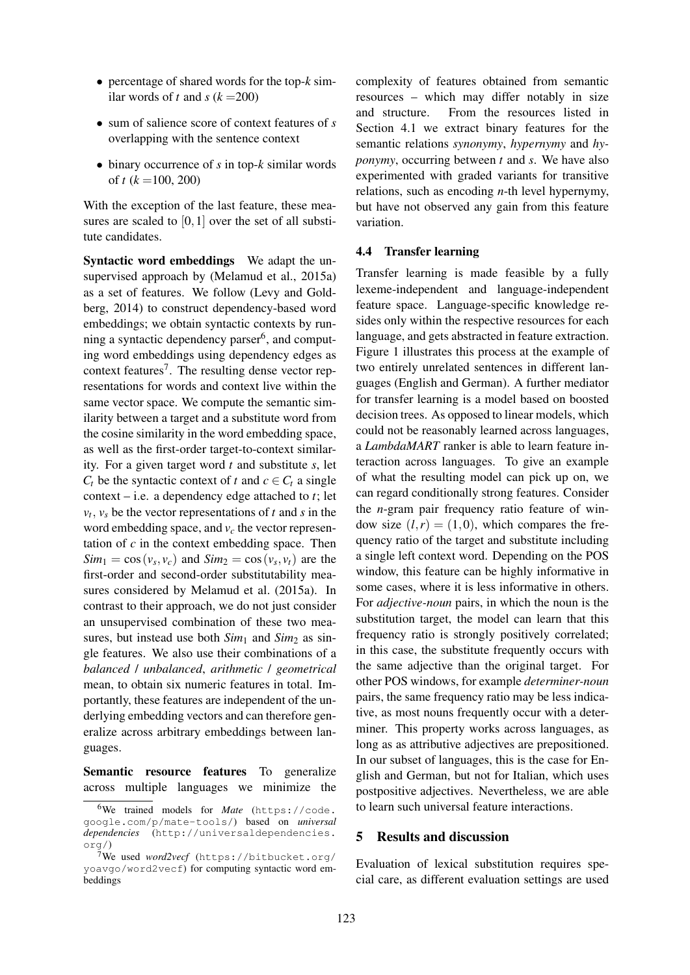- percentage of shared words for the top-*k* similar words of *t* and  $s (k = 200)$
- sum of salience score of context features of *s* overlapping with the sentence context
- binary occurrence of *s* in top-*k* similar words of *t*  $(k = 100, 200)$

With the exception of the last feature, these measures are scaled to  $[0,1]$  over the set of all substitute candidates.

Syntactic word embeddings We adapt the unsupervised approach by (Melamud et al., 2015a) as a set of features. We follow (Levy and Goldberg, 2014) to construct dependency-based word embeddings; we obtain syntactic contexts by running a syntactic dependency parser<sup>6</sup>, and computing word embeddings using dependency edges as context features<sup>7</sup>. The resulting dense vector representations for words and context live within the same vector space. We compute the semantic similarity between a target and a substitute word from the cosine similarity in the word embedding space, as well as the first-order target-to-context similarity. For a given target word *t* and substitute *s*, let *C<sub>t</sub>* be the syntactic context of *t* and  $c \in C_t$  a single context – i.e. a dependency edge attached to *t*; let  $v_t$ ,  $v_s$  be the vector representations of *t* and *s* in the word embedding space, and *v<sup>c</sup>* the vector representation of *c* in the context embedding space. Then  $Sim_1 = \cos(v_s, v_c)$  and  $Sim_2 = \cos(v_s, v_t)$  are the first-order and second-order substitutability measures considered by Melamud et al. (2015a). In contrast to their approach, we do not just consider an unsupervised combination of these two measures, but instead use both  $Sim_1$  and  $Sim_2$  as single features. We also use their combinations of a *balanced* / *unbalanced*, *arithmetic* / *geometrical* mean, to obtain six numeric features in total. Importantly, these features are independent of the underlying embedding vectors and can therefore generalize across arbitrary embeddings between languages.

Semantic resource features To generalize across multiple languages we minimize the

complexity of features obtained from semantic resources – which may differ notably in size and structure. From the resources listed in Section 4.1 we extract binary features for the semantic relations *synonymy*, *hypernymy* and *hyponymy*, occurring between *t* and *s*. We have also experimented with graded variants for transitive relations, such as encoding *n*-th level hypernymy, but have not observed any gain from this feature variation.

#### 4.4 Transfer learning

Transfer learning is made feasible by a fully lexeme-independent and language-independent feature space. Language-specific knowledge resides only within the respective resources for each language, and gets abstracted in feature extraction. Figure 1 illustrates this process at the example of two entirely unrelated sentences in different languages (English and German). A further mediator for transfer learning is a model based on boosted decision trees. As opposed to linear models, which could not be reasonably learned across languages, a *LambdaMART* ranker is able to learn feature interaction across languages. To give an example of what the resulting model can pick up on, we can regard conditionally strong features. Consider the *n*-gram pair frequency ratio feature of window size  $(l, r) = (1, 0)$ , which compares the frequency ratio of the target and substitute including a single left context word. Depending on the POS window, this feature can be highly informative in some cases, where it is less informative in others. For *adjective-noun* pairs, in which the noun is the substitution target, the model can learn that this frequency ratio is strongly positively correlated; in this case, the substitute frequently occurs with the same adjective than the original target. For other POS windows, for example *determiner-noun* pairs, the same frequency ratio may be less indicative, as most nouns frequently occur with a determiner. This property works across languages, as long as as attributive adjectives are prepositioned. In our subset of languages, this is the case for English and German, but not for Italian, which uses postpositive adjectives. Nevertheless, we are able to learn such universal feature interactions.

#### 5 Results and discussion

Evaluation of lexical substitution requires special care, as different evaluation settings are used

<sup>&</sup>lt;sup>6</sup>We trained models for *Mate* (https://code. google.com/p/mate-tools/) based on *universal dependencies* (http://universaldependencies. org/)

<sup>7</sup>We used *word2vecf* (https://bitbucket.org/ yoavgo/word2vecf) for computing syntactic word embeddings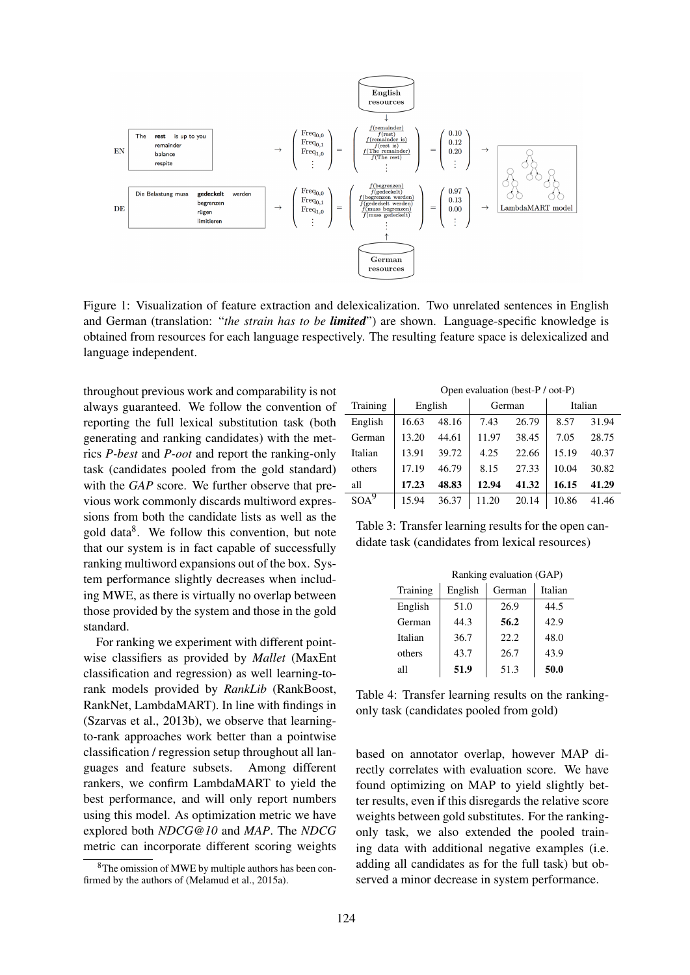Figure 1: Visualization of feature extraction and delexicalization. Two unrelated sentences in English and German (translation: "*the strain has to be limited*") are shown. Language-specific knowledge is obtained from resources for each language respectively. The resulting feature space is delexicalized and language independent.

throughout previous work and comparability is not always guaranteed. We follow the convention of reporting the full lexical substitution task (both generating and ranking candidates) with the metrics *P-best* and *P-oot* and report the ranking-only task (candidates pooled from the gold standard) with the *GAP* score. We further observe that previous work commonly discards multiword expressions from both the candidate lists as well as the gold data<sup>8</sup>. We follow this convention, but note that our system is in fact capable of successfully ranking multiword expansions out of the box. System performance slightly decreases when including MWE, as there is virtually no overlap between those provided by the system and those in the gold standard.

For ranking we experiment with different pointwise classifiers as provided by *Mallet* (MaxEnt classification and regression) as well learning-torank models provided by *RankLib* (RankBoost, RankNet, LambdaMART). In line with findings in (Szarvas et al., 2013b), we observe that learningto-rank approaches work better than a pointwise classification / regression setup throughout all languages and feature subsets. Among different rankers, we confirm LambdaMART to yield the best performance, and will only report numbers using this model. As optimization metric we have explored both *NDCG@10* and *MAP*. The *NDCG* metric can incorporate different scoring weights

|          | Open evaluation (best-P / oot-P) |       |        |       |         |       |
|----------|----------------------------------|-------|--------|-------|---------|-------|
| Training | English                          |       | German |       | Italian |       |
| English  | 16.63                            | 48.16 | 7.43   | 26.79 | 8.57    | 31.94 |
| German   | 13.20                            | 44.61 | 11.97  | 38.45 | 7.05    | 28.75 |
| Italian  | 13.91                            | 39.72 | 4.25   | 22.66 | 15.19   | 40.37 |
| others   | 17.19                            | 46.79 | 8.15   | 27.33 | 10.04   | 30.82 |
| all      | 17.23                            | 48.83 | 12.94  | 41.32 | 16.15   | 41.29 |
|          | 15.94                            | 36.37 | 11.20  | 20.14 | 10.86   | 41.46 |

Table 3: Transfer learning results for the open candidate task (candidates from lexical resources)

|          |         | Ranking evaluation (GAP) |         |
|----------|---------|--------------------------|---------|
| Training | English | German                   | Italian |
| English  | 51.0    | 26.9                     | 44.5    |
| German   | 44.3    | 56.2                     | 42.9    |
| Italian  | 36.7    | 22.2.                    | 48.0    |
| others   | 43.7    | 26.7                     | 43.9    |
| all      | 51.9    | 51.3                     | 50.0    |

Table 4: Transfer learning results on the rankingonly task (candidates pooled from gold)

based on annotator overlap, however MAP directly correlates with evaluation score. We have found optimizing on MAP to yield slightly better results, even if this disregards the relative score weights between gold substitutes. For the rankingonly task, we also extended the pooled training data with additional negative examples (i.e. adding all candidates as for the full task) but observed a minor decrease in system performance.

<sup>8</sup>The omission of MWE by multiple authors has been confirmed by the authors of (Melamud et al., 2015a).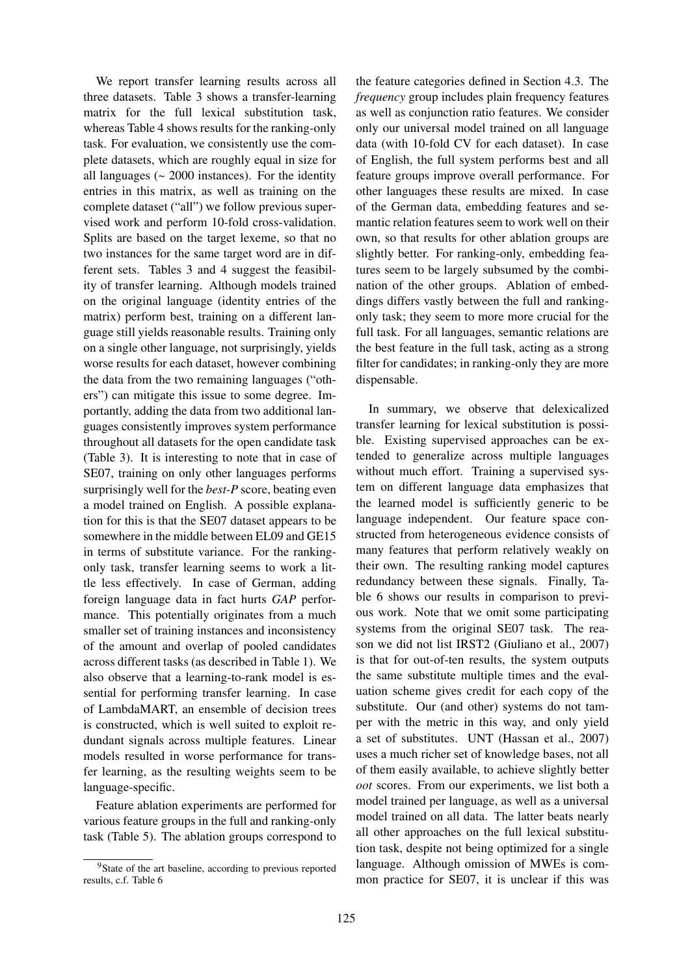We report transfer learning results across all three datasets. Table 3 shows a transfer-learning matrix for the full lexical substitution task, whereas Table 4 shows results for the ranking-only task. For evaluation, we consistently use the complete datasets, which are roughly equal in size for all languages  $($   $\sim$  2000 instances). For the identity entries in this matrix, as well as training on the complete dataset ("all") we follow previous supervised work and perform 10-fold cross-validation. Splits are based on the target lexeme, so that no two instances for the same target word are in different sets. Tables 3 and 4 suggest the feasibility of transfer learning. Although models trained on the original language (identity entries of the matrix) perform best, training on a different language still yields reasonable results. Training only on a single other language, not surprisingly, yields worse results for each dataset, however combining the data from the two remaining languages ("others") can mitigate this issue to some degree. Importantly, adding the data from two additional languages consistently improves system performance throughout all datasets for the open candidate task (Table 3). It is interesting to note that in case of SE07, training on only other languages performs surprisingly well for the *best-P* score, beating even a model trained on English. A possible explanation for this is that the SE07 dataset appears to be somewhere in the middle between EL09 and GE15 in terms of substitute variance. For the rankingonly task, transfer learning seems to work a little less effectively. In case of German, adding foreign language data in fact hurts *GAP* performance. This potentially originates from a much smaller set of training instances and inconsistency of the amount and overlap of pooled candidates across different tasks (as described in Table 1). We also observe that a learning-to-rank model is essential for performing transfer learning. In case of LambdaMART, an ensemble of decision trees is constructed, which is well suited to exploit redundant signals across multiple features. Linear models resulted in worse performance for transfer learning, as the resulting weights seem to be language-specific.

Feature ablation experiments are performed for various feature groups in the full and ranking-only task (Table 5). The ablation groups correspond to

the feature categories defined in Section 4.3. The *frequency* group includes plain frequency features as well as conjunction ratio features. We consider only our universal model trained on all language data (with 10-fold CV for each dataset). In case of English, the full system performs best and all feature groups improve overall performance. For other languages these results are mixed. In case of the German data, embedding features and semantic relation features seem to work well on their own, so that results for other ablation groups are slightly better. For ranking-only, embedding features seem to be largely subsumed by the combination of the other groups. Ablation of embeddings differs vastly between the full and rankingonly task; they seem to more more crucial for the full task. For all languages, semantic relations are the best feature in the full task, acting as a strong filter for candidates; in ranking-only they are more dispensable.

In summary, we observe that delexicalized transfer learning for lexical substitution is possible. Existing supervised approaches can be extended to generalize across multiple languages without much effort. Training a supervised system on different language data emphasizes that the learned model is sufficiently generic to be language independent. Our feature space constructed from heterogeneous evidence consists of many features that perform relatively weakly on their own. The resulting ranking model captures redundancy between these signals. Finally, Table 6 shows our results in comparison to previous work. Note that we omit some participating systems from the original SE07 task. The reason we did not list IRST2 (Giuliano et al., 2007) is that for out-of-ten results, the system outputs the same substitute multiple times and the evaluation scheme gives credit for each copy of the substitute. Our (and other) systems do not tamper with the metric in this way, and only yield a set of substitutes. UNT (Hassan et al., 2007) uses a much richer set of knowledge bases, not all of them easily available, to achieve slightly better *oot* scores. From our experiments, we list both a model trained per language, as well as a universal model trained on all data. The latter beats nearly all other approaches on the full lexical substitution task, despite not being optimized for a single language. Although omission of MWEs is common practice for SE07, it is unclear if this was

<sup>&</sup>lt;sup>9</sup>State of the art baseline, according to previous reported results, c.f. Table 6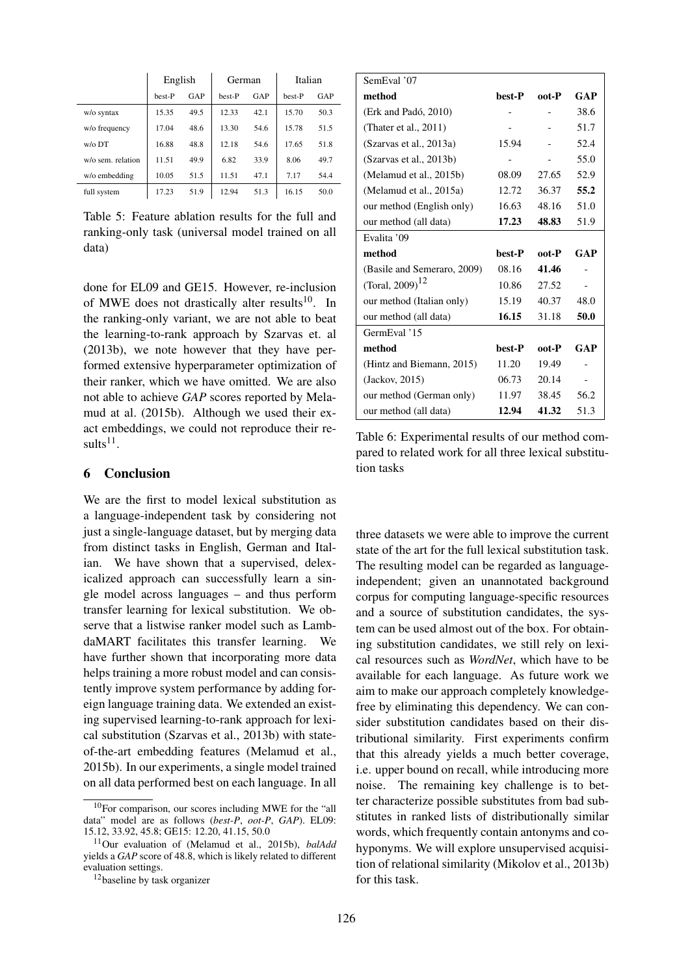|                   | English |      | German |      | Italian |      |
|-------------------|---------|------|--------|------|---------|------|
|                   | best-P  | GAP  | best-P | GAP  | best-P  | GAP  |
| w/o syntax        | 15.35   | 49.5 | 12.33  | 42.1 | 15.70   | 50.3 |
| w/o frequency     | 17.04   | 48.6 | 13.30  | 54.6 | 15.78   | 51.5 |
| $w$ / $\circ$ DT  | 16.88   | 48.8 | 12.18  | 54.6 | 17.65   | 51.8 |
| w/o sem. relation | 11.51   | 49.9 | 6.82   | 33.9 | 8.06    | 49.7 |
| w/o embedding     | 10.05   | 51.5 | 11.51  | 47.1 | 7.17    | 54.4 |
| full system       | 17.23   | 51.9 | 12.94  | 51.3 | 16.15   | 50.0 |

Table 5: Feature ablation results for the full and ranking-only task (universal model trained on all data)

done for EL09 and GE15. However, re-inclusion of MWE does not drastically alter results<sup>10</sup>. In the ranking-only variant, we are not able to beat the learning-to-rank approach by Szarvas et. al (2013b), we note however that they have performed extensive hyperparameter optimization of their ranker, which we have omitted. We are also not able to achieve *GAP* scores reported by Melamud at al. (2015b). Although we used their exact embeddings, we could not reproduce their results $^{11}$ .

### 6 Conclusion

We are the first to model lexical substitution as a language-independent task by considering not just a single-language dataset, but by merging data from distinct tasks in English, German and Italian. We have shown that a supervised, delexicalized approach can successfully learn a single model across languages – and thus perform transfer learning for lexical substitution. We observe that a listwise ranker model such as LambdaMART facilitates this transfer learning. We have further shown that incorporating more data helps training a more robust model and can consistently improve system performance by adding foreign language training data. We extended an existing supervised learning-to-rank approach for lexical substitution (Szarvas et al., 2013b) with stateof-the-art embedding features (Melamud et al., 2015b). In our experiments, a single model trained on all data performed best on each language. In all

| SemEval '07                 |        |       |      |
|-----------------------------|--------|-------|------|
| method                      | best-P | oot-P | GAP  |
| (Erk and Padó, 2010)        |        |       | 38.6 |
| (Thater et al., $2011$ )    |        |       | 51.7 |
| (Szarvas et al., 2013a)     | 15.94  |       | 52.4 |
| (Szarvas et al., 2013b)     |        |       | 55.0 |
| (Melamud et al., 2015b)     | 08.09  | 27.65 | 52.9 |
| (Melamud et al., 2015a)     | 12.72  | 36.37 | 55.2 |
| our method (English only)   | 16.63  | 48.16 | 51.0 |
| our method (all data)       | 17.23  | 48.83 | 51.9 |
| Evalita '09                 |        |       |      |
|                             |        |       |      |
| method                      | best-P | oot-P | GAP  |
| (Basile and Semeraro, 2009) | 08.16  | 41.46 |      |
| (Toral, 2009) <sup>12</sup> | 10.86  | 27.52 |      |
| our method (Italian only)   | 15.19  | 40.37 | 48.0 |
| our method (all data)       | 16.15  | 31.18 | 50.0 |
| GermEval '15                |        |       |      |
| method                      | best-P | oot-P | GAP  |
| (Hintz and Biemann, 2015)   | 11.20  | 19.49 |      |
| (Jackov, 2015)              | 06.73  | 20.14 |      |
| our method (German only)    | 11.97  | 38.45 | 56.2 |

Table 6: Experimental results of our method compared to related work for all three lexical substitution tasks

three datasets we were able to improve the current state of the art for the full lexical substitution task. The resulting model can be regarded as languageindependent; given an unannotated background corpus for computing language-specific resources and a source of substitution candidates, the system can be used almost out of the box. For obtaining substitution candidates, we still rely on lexical resources such as *WordNet*, which have to be available for each language. As future work we aim to make our approach completely knowledgefree by eliminating this dependency. We can consider substitution candidates based on their distributional similarity. First experiments confirm that this already yields a much better coverage, i.e. upper bound on recall, while introducing more noise. The remaining key challenge is to better characterize possible substitutes from bad substitutes in ranked lists of distributionally similar words, which frequently contain antonyms and cohyponyms. We will explore unsupervised acquisition of relational similarity (Mikolov et al., 2013b) for this task.

<sup>10</sup>For comparison, our scores including MWE for the "all data" model are as follows (*best-P*, *oot-P*, *GAP*). EL09: 15.12, 33.92, 45.8; GE15: 12.20, 41.15, 50.0

<sup>11</sup>Our evaluation of (Melamud et al., 2015b), *balAdd* yields a *GAP* score of 48.8, which is likely related to different evaluation settings.

<sup>12</sup>baseline by task organizer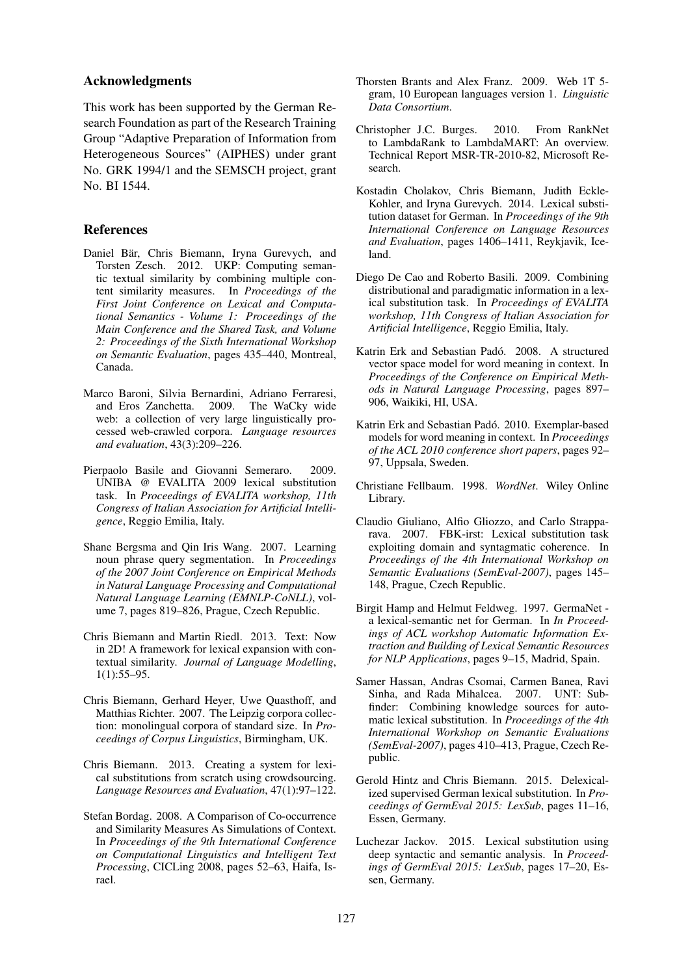### Acknowledgments

This work has been supported by the German Research Foundation as part of the Research Training Group "Adaptive Preparation of Information from Heterogeneous Sources" (AIPHES) under grant No. GRK 1994/1 and the SEMSCH project, grant No. BI 1544.

### References

- Daniel Bär, Chris Biemann, Iryna Gurevych, and Torsten Zesch. 2012. UKP: Computing semantic textual similarity by combining multiple content similarity measures. In *Proceedings of the First Joint Conference on Lexical and Computational Semantics - Volume 1: Proceedings of the Main Conference and the Shared Task, and Volume 2: Proceedings of the Sixth International Workshop on Semantic Evaluation*, pages 435–440, Montreal, Canada.
- Marco Baroni, Silvia Bernardini, Adriano Ferraresi, and Eros Zanchetta. 2009. The WaCky wide web: a collection of very large linguistically processed web-crawled corpora. *Language resources and evaluation*, 43(3):209–226.
- Pierpaolo Basile and Giovanni Semeraro. 2009. UNIBA @ EVALITA 2009 lexical substitution task. In *Proceedings of EVALITA workshop, 11th Congress of Italian Association for Artificial Intelligence*, Reggio Emilia, Italy.
- Shane Bergsma and Qin Iris Wang. 2007. Learning noun phrase query segmentation. In *Proceedings of the 2007 Joint Conference on Empirical Methods in Natural Language Processing and Computational Natural Language Learning (EMNLP-CoNLL)*, volume 7, pages 819–826, Prague, Czech Republic.
- Chris Biemann and Martin Riedl. 2013. Text: Now in 2D! A framework for lexical expansion with contextual similarity. *Journal of Language Modelling*, 1(1):55–95.
- Chris Biemann, Gerhard Heyer, Uwe Quasthoff, and Matthias Richter. 2007. The Leipzig corpora collection: monolingual corpora of standard size. In *Proceedings of Corpus Linguistics*, Birmingham, UK.
- Chris Biemann. 2013. Creating a system for lexical substitutions from scratch using crowdsourcing. *Language Resources and Evaluation*, 47(1):97–122.
- Stefan Bordag. 2008. A Comparison of Co-occurrence and Similarity Measures As Simulations of Context. In *Proceedings of the 9th International Conference on Computational Linguistics and Intelligent Text Processing*, CICLing 2008, pages 52–63, Haifa, Israel.
- Thorsten Brants and Alex Franz. 2009. Web 1T 5 gram, 10 European languages version 1. *Linguistic Data Consortium*.
- Christopher J.C. Burges. 2010. From RankNet to LambdaRank to LambdaMART: An overview. Technical Report MSR-TR-2010-82, Microsoft Research.
- Kostadin Cholakov, Chris Biemann, Judith Eckle-Kohler, and Iryna Gurevych. 2014. Lexical substitution dataset for German. In *Proceedings of the 9th International Conference on Language Resources and Evaluation*, pages 1406–1411, Reykjavik, Iceland.
- Diego De Cao and Roberto Basili. 2009. Combining distributional and paradigmatic information in a lexical substitution task. In *Proceedings of EVALITA workshop, 11th Congress of Italian Association for Artificial Intelligence*, Reggio Emilia, Italy.
- Katrin Erk and Sebastian Padó. 2008. A structured vector space model for word meaning in context. In *Proceedings of the Conference on Empirical Methods in Natural Language Processing*, pages 897– 906, Waikiki, HI, USA.
- Katrin Erk and Sebastian Padó. 2010. Exemplar-based models for word meaning in context. In *Proceedings of the ACL 2010 conference short papers*, pages 92– 97, Uppsala, Sweden.
- Christiane Fellbaum. 1998. *WordNet*. Wiley Online Library.
- Claudio Giuliano, Alfio Gliozzo, and Carlo Strapparava. 2007. FBK-irst: Lexical substitution task exploiting domain and syntagmatic coherence. In *Proceedings of the 4th International Workshop on Semantic Evaluations (SemEval-2007)*, pages 145– 148, Prague, Czech Republic.
- Birgit Hamp and Helmut Feldweg. 1997. GermaNet a lexical-semantic net for German. In *In Proceedings of ACL workshop Automatic Information Extraction and Building of Lexical Semantic Resources for NLP Applications*, pages 9–15, Madrid, Spain.
- Samer Hassan, Andras Csomai, Carmen Banea, Ravi Sinha, and Rada Mihalcea. 2007. UNT: Subfinder: Combining knowledge sources for automatic lexical substitution. In *Proceedings of the 4th International Workshop on Semantic Evaluations (SemEval-2007)*, pages 410–413, Prague, Czech Republic.
- Gerold Hintz and Chris Biemann. 2015. Delexicalized supervised German lexical substitution. In *Proceedings of GermEval 2015: LexSub*, pages 11–16, Essen, Germany.
- Luchezar Jackov. 2015. Lexical substitution using deep syntactic and semantic analysis. In *Proceedings of GermEval 2015: LexSub*, pages 17–20, Essen, Germany.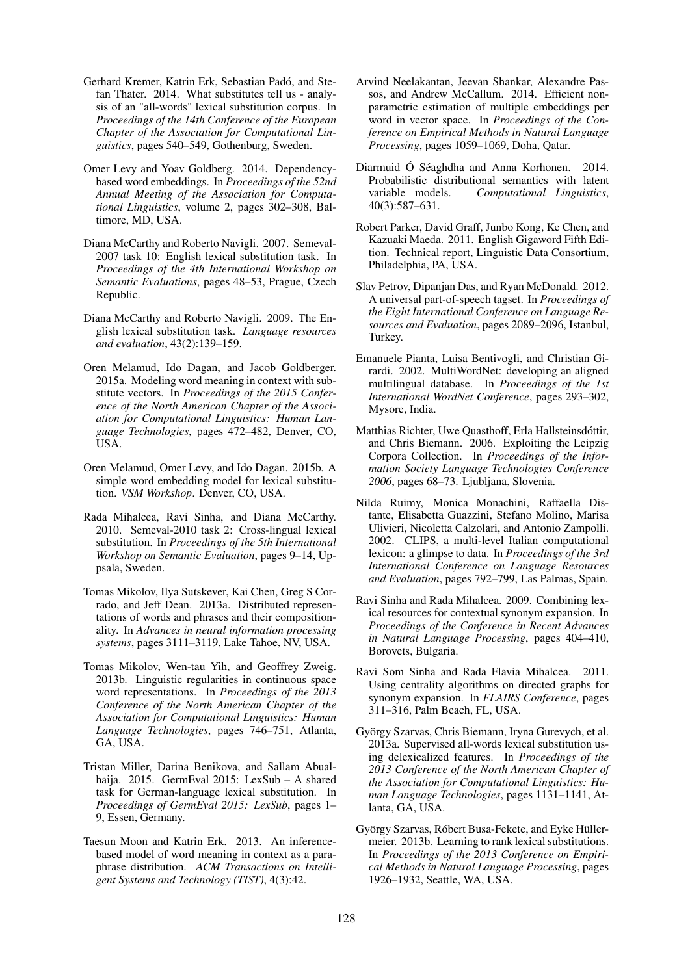- Gerhard Kremer, Katrin Erk, Sebastian Padó, and Stefan Thater. 2014. What substitutes tell us - analysis of an "all-words" lexical substitution corpus. In *Proceedings of the 14th Conference of the European Chapter of the Association for Computational Linguistics*, pages 540–549, Gothenburg, Sweden.
- Omer Levy and Yoav Goldberg. 2014. Dependencybased word embeddings. In *Proceedings of the 52nd Annual Meeting of the Association for Computational Linguistics*, volume 2, pages 302–308, Baltimore, MD, USA.
- Diana McCarthy and Roberto Navigli. 2007. Semeval-2007 task 10: English lexical substitution task. In *Proceedings of the 4th International Workshop on Semantic Evaluations*, pages 48–53, Prague, Czech Republic.
- Diana McCarthy and Roberto Navigli. 2009. The English lexical substitution task. *Language resources and evaluation*, 43(2):139–159.
- Oren Melamud, Ido Dagan, and Jacob Goldberger. 2015a. Modeling word meaning in context with substitute vectors. In *Proceedings of the 2015 Conference of the North American Chapter of the Association for Computational Linguistics: Human Language Technologies*, pages 472–482, Denver, CO, USA.
- Oren Melamud, Omer Levy, and Ido Dagan. 2015b. A simple word embedding model for lexical substitution. *VSM Workshop*. Denver, CO, USA.
- Rada Mihalcea, Ravi Sinha, and Diana McCarthy. 2010. Semeval-2010 task 2: Cross-lingual lexical substitution. In *Proceedings of the 5th International Workshop on Semantic Evaluation*, pages 9–14, Uppsala, Sweden.
- Tomas Mikolov, Ilya Sutskever, Kai Chen, Greg S Corrado, and Jeff Dean. 2013a. Distributed representations of words and phrases and their compositionality. In *Advances in neural information processing systems*, pages 3111–3119, Lake Tahoe, NV, USA.
- Tomas Mikolov, Wen-tau Yih, and Geoffrey Zweig. 2013b. Linguistic regularities in continuous space word representations. In *Proceedings of the 2013 Conference of the North American Chapter of the Association for Computational Linguistics: Human Language Technologies*, pages 746–751, Atlanta, GA, USA.
- Tristan Miller, Darina Benikova, and Sallam Abualhaija. 2015. GermEval 2015: LexSub – A shared task for German-language lexical substitution. In *Proceedings of GermEval 2015: LexSub*, pages 1– 9, Essen, Germany.
- Taesun Moon and Katrin Erk. 2013. An inferencebased model of word meaning in context as a paraphrase distribution. *ACM Transactions on Intelligent Systems and Technology (TIST)*, 4(3):42.
- Arvind Neelakantan, Jeevan Shankar, Alexandre Passos, and Andrew McCallum. 2014. Efficient nonparametric estimation of multiple embeddings per word in vector space. In *Proceedings of the Conference on Empirical Methods in Natural Language Processing*, pages 1059–1069, Doha, Qatar.
- Diarmuid Ó Séaghdha and Anna Korhonen. 2014. Probabilistic distributional semantics with latent variable models. *Computational Linguistics*, 40(3):587–631.
- Robert Parker, David Graff, Junbo Kong, Ke Chen, and Kazuaki Maeda. 2011. English Gigaword Fifth Edition. Technical report, Linguistic Data Consortium, Philadelphia, PA, USA.
- Slav Petrov, Dipanjan Das, and Ryan McDonald. 2012. A universal part-of-speech tagset. In *Proceedings of the Eight International Conference on Language Resources and Evaluation*, pages 2089–2096, Istanbul, Turkey.
- Emanuele Pianta, Luisa Bentivogli, and Christian Girardi. 2002. MultiWordNet: developing an aligned multilingual database. In *Proceedings of the 1st International WordNet Conference*, pages 293–302, Mysore, India.
- Matthias Richter, Uwe Quasthoff, Erla Hallsteinsdóttir, and Chris Biemann. 2006. Exploiting the Leipzig Corpora Collection. In *Proceedings of the Information Society Language Technologies Conference 2006*, pages 68–73. Ljubljana, Slovenia.
- Nilda Ruimy, Monica Monachini, Raffaella Distante, Elisabetta Guazzini, Stefano Molino, Marisa Ulivieri, Nicoletta Calzolari, and Antonio Zampolli. 2002. CLIPS, a multi-level Italian computational lexicon: a glimpse to data. In *Proceedings of the 3rd International Conference on Language Resources and Evaluation*, pages 792–799, Las Palmas, Spain.
- Ravi Sinha and Rada Mihalcea. 2009. Combining lexical resources for contextual synonym expansion. In *Proceedings of the Conference in Recent Advances in Natural Language Processing*, pages 404–410, Borovets, Bulgaria.
- Ravi Som Sinha and Rada Flavia Mihalcea. 2011. Using centrality algorithms on directed graphs for synonym expansion. In *FLAIRS Conference*, pages 311–316, Palm Beach, FL, USA.
- György Szarvas, Chris Biemann, Iryna Gurevych, et al. 2013a. Supervised all-words lexical substitution using delexicalized features. In *Proceedings of the 2013 Conference of the North American Chapter of the Association for Computational Linguistics: Human Language Technologies*, pages 1131–1141, Atlanta, GA, USA.
- György Szarvas, Róbert Busa-Fekete, and Eyke Hüllermeier. 2013b. Learning to rank lexical substitutions. In *Proceedings of the 2013 Conference on Empirical Methods in Natural Language Processing*, pages 1926–1932, Seattle, WA, USA.